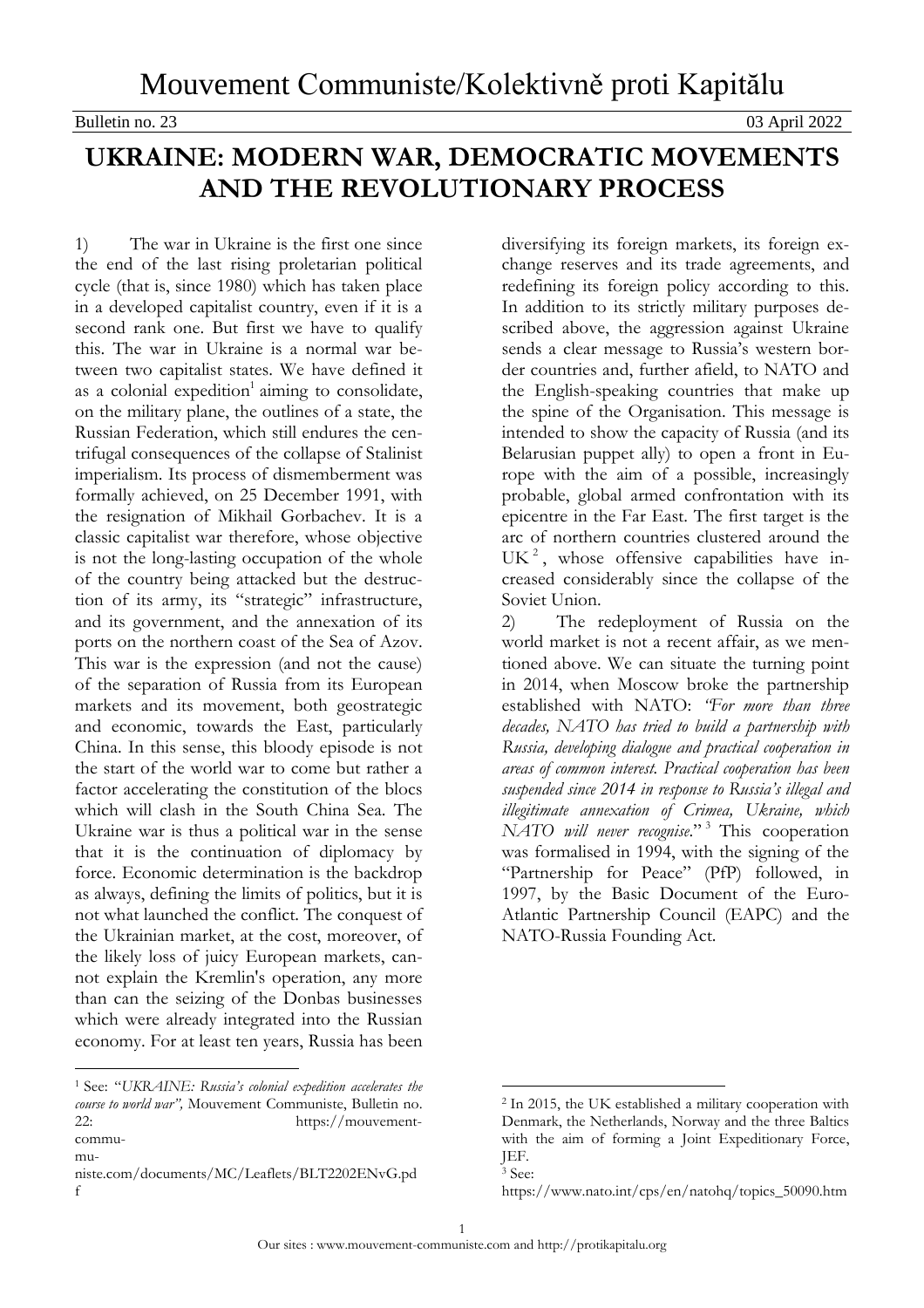## Bulletin no. 23 03 April 2022

## **UKRAINE: MODERN WAR, DEMOCRATIC MOVEMENTS AND THE REVOLUTIONARY PROCESS**

1) The war in Ukraine is the first one since the end of the last rising proletarian political cycle (that is, since 1980) which has taken place in a developed capitalist country, even if it is a second rank one. But first we have to qualify this. The war in Ukraine is a normal war between two capitalist states. We have defined it as a colonial expedition<sup>1</sup> aiming to consolidate, on the military plane, the outlines of a state, the Russian Federation, which still endures the centrifugal consequences of the collapse of Stalinist imperialism. Its process of dismemberment was formally achieved, on 25 December 1991, with the resignation of Mikhail Gorbachev. It is a classic capitalist war therefore, whose objective is not the long-lasting occupation of the whole of the country being attacked but the destruction of its army, its "strategic" infrastructure, and its government, and the annexation of its ports on the northern coast of the Sea of Azov. This war is the expression (and not the cause) of the separation of Russia from its European markets and its movement, both geostrategic and economic, towards the East, particularly China. In this sense, this bloody episode is not the start of the world war to come but rather a factor accelerating the constitution of the blocs which will clash in the South China Sea. The Ukraine war is thus a political war in the sense that it is the continuation of diplomacy by force. Economic determination is the backdrop as always, defining the limits of politics, but it is not what launched the conflict. The conquest of the Ukrainian market, at the cost, moreover, of the likely loss of juicy European markets, cannot explain the Kremlin's operation, any more than can the seizing of the Donbas businesses which were already integrated into the Russian economy. For at least ten years, Russia has been

 $\overline{a}$ 

diversifying its foreign markets, its foreign exchange reserves and its trade agreements, and redefining its foreign policy according to this. In addition to its strictly military purposes described above, the aggression against Ukraine sends a clear message to Russia's western border countries and, further afield, to NATO and the English-speaking countries that make up the spine of the Organisation. This message is intended to show the capacity of Russia (and its Belarusian puppet ally) to open a front in Europe with the aim of a possible, increasingly probable, global armed confrontation with its epicentre in the Far East. The first target is the arc of northern countries clustered around the UK<sup>2</sup>, whose offensive capabilities have increased considerably since the collapse of the Soviet Union.

2) The redeployment of Russia on the world market is not a recent affair, as we mentioned above. We can situate the turning point in 2014, when Moscow broke the partnership established with NATO: *"For more than three decades, NATO has tried to build a partnership with Russia, developing dialogue and practical cooperation in areas of common interest. Practical cooperation has been suspended since 2014 in response to Russia's illegal and illegitimate annexation of Crimea, Ukraine, which NATO will never recognise*." <sup>3</sup> This cooperation was formalised in 1994, with the signing of the "Partnership for Peace" (PfP) followed, in 1997, by the Basic Document of the Euro-Atlantic Partnership Council (EAPC) and the NATO-Russia Founding Act.

<sup>1</sup> See: "*UKRAINE: Russia's colonial expedition accelerates the course to world war",* Mouvement Communiste, Bulletin no. 22: [https://mouvement](https://mouvement-communiste.com/documents/MC/Leaflets/BLT2202ENvG.pdf)[commu-](https://mouvement-communiste.com/documents/MC/Leaflets/BLT2202ENvG.pdf)

[mu-](https://mouvement-communiste.com/documents/MC/Leaflets/BLT2202ENvG.pdf)

[niste.com/documents/MC/Leaflets/BLT2202ENvG.pd](https://mouvement-communiste.com/documents/MC/Leaflets/BLT2202ENvG.pdf) [f](https://mouvement-communiste.com/documents/MC/Leaflets/BLT2202ENvG.pdf)

<sup>2</sup> In 2015, the UK established a military cooperation with Denmark, the Netherlands, Norway and the three Baltics with the aim of forming a Joint Expeditionary Force, JEF.

<sup>3</sup> See:

[https://www.nato.int/cps/en/natohq/topics\\_50090.htm](https://www.nato.int/cps/en/natohq/topics_50090.htm)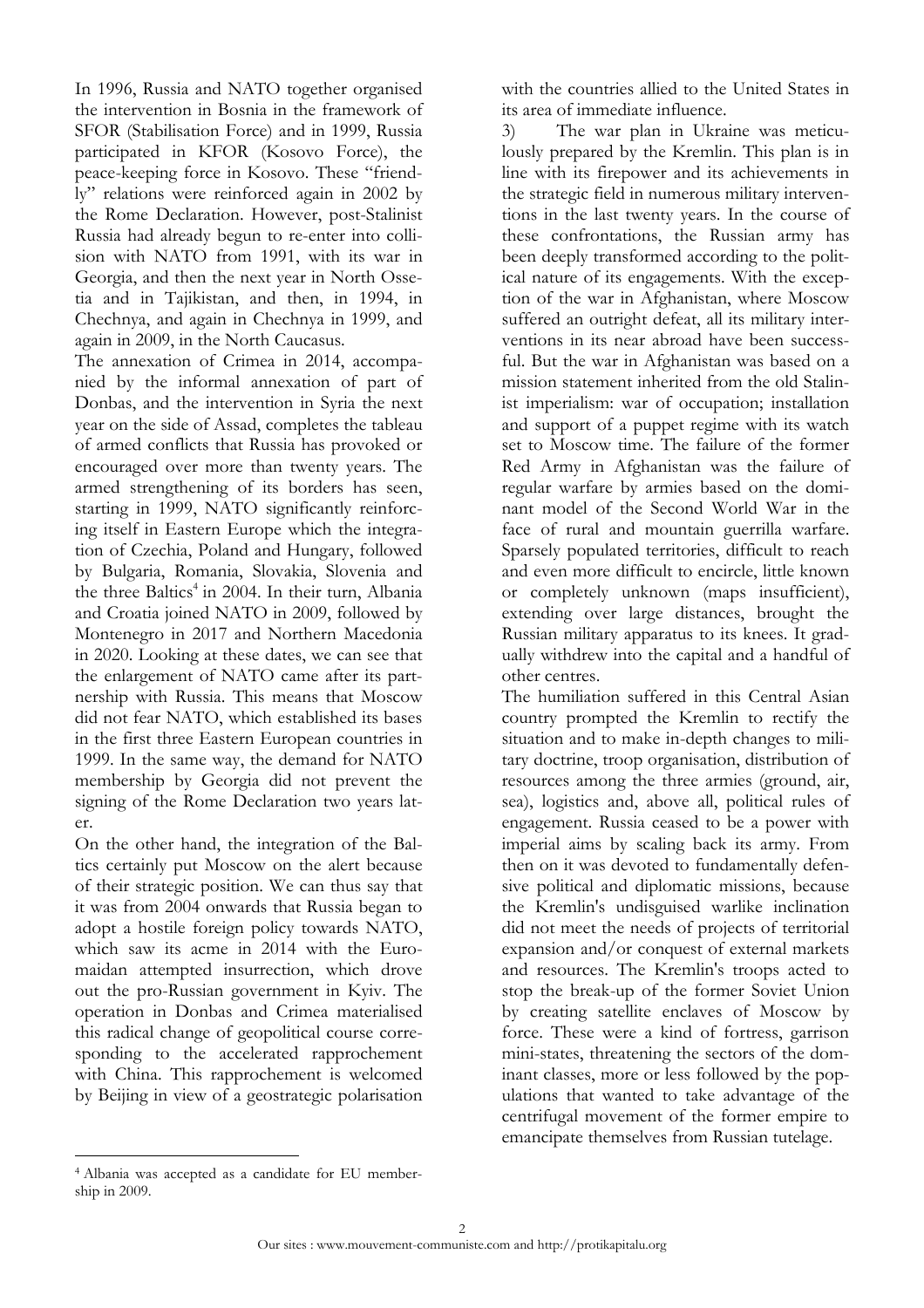In 1996, Russia and NATO together organised the intervention in Bosnia in the framework of SFOR (Stabilisation Force) and in 1999, Russia participated in KFOR (Kosovo Force), the peace-keeping force in Kosovo. These "friendly" relations were reinforced again in 2002 by the Rome Declaration. However, post-Stalinist Russia had already begun to re-enter into collision with NATO from 1991, with its war in Georgia, and then the next year in North Ossetia and in Tajikistan, and then, in 1994, in Chechnya, and again in Chechnya in 1999, and again in 2009, in the North Caucasus.

The annexation of Crimea in 2014, accompanied by the informal annexation of part of Donbas, and the intervention in Syria the next year on the side of Assad, completes the tableau of armed conflicts that Russia has provoked or encouraged over more than twenty years. The armed strengthening of its borders has seen, starting in 1999, NATO significantly reinforcing itself in Eastern Europe which the integration of Czechia, Poland and Hungary, followed by Bulgaria, Romania, Slovakia, Slovenia and the three Baltics<sup>4</sup> in 2004. In their turn, Albania and Croatia joined NATO in 2009, followed by Montenegro in 2017 and Northern Macedonia in 2020. Looking at these dates, we can see that the enlargement of NATO came after its partnership with Russia. This means that Moscow did not fear NATO, which established its bases in the first three Eastern European countries in 1999. In the same way, the demand for NATO membership by Georgia did not prevent the signing of the Rome Declaration two years later.

On the other hand, the integration of the Baltics certainly put Moscow on the alert because of their strategic position. We can thus say that it was from 2004 onwards that Russia began to adopt a hostile foreign policy towards NATO, which saw its acme in 2014 with the Euromaidan attempted insurrection, which drove out the pro-Russian government in Kyiv. The operation in Donbas and Crimea materialised this radical change of geopolitical course corresponding to the accelerated rapprochement with China. This rapprochement is welcomed by Beijing in view of a geostrategic polarisation

with the countries allied to the United States in its area of immediate influence.

3) The war plan in Ukraine was meticulously prepared by the Kremlin. This plan is in line with its firepower and its achievements in the strategic field in numerous military interventions in the last twenty years. In the course of these confrontations, the Russian army has been deeply transformed according to the political nature of its engagements. With the exception of the war in Afghanistan, where Moscow suffered an outright defeat, all its military interventions in its near abroad have been successful. But the war in Afghanistan was based on a mission statement inherited from the old Stalinist imperialism: war of occupation; installation and support of a puppet regime with its watch set to Moscow time. The failure of the former Red Army in Afghanistan was the failure of regular warfare by armies based on the dominant model of the Second World War in the face of rural and mountain guerrilla warfare. Sparsely populated territories, difficult to reach and even more difficult to encircle, little known or completely unknown (maps insufficient), extending over large distances, brought the Russian military apparatus to its knees. It gradually withdrew into the capital and a handful of other centres.

The humiliation suffered in this Central Asian country prompted the Kremlin to rectify the situation and to make in-depth changes to military doctrine, troop organisation, distribution of resources among the three armies (ground, air, sea), logistics and, above all, political rules of engagement. Russia ceased to be a power with imperial aims by scaling back its army. From then on it was devoted to fundamentally defensive political and diplomatic missions, because the Kremlin's undisguised warlike inclination did not meet the needs of projects of territorial expansion and/or conquest of external markets and resources. The Kremlin's troops acted to stop the break-up of the former Soviet Union by creating satellite enclaves of Moscow by force. These were a kind of fortress, garrison mini-states, threatening the sectors of the dominant classes, more or less followed by the populations that wanted to take advantage of the centrifugal movement of the former empire to emancipate themselves from Russian tutelage.

<sup>4</sup> Albania was accepted as a candidate for EU membership in 2009.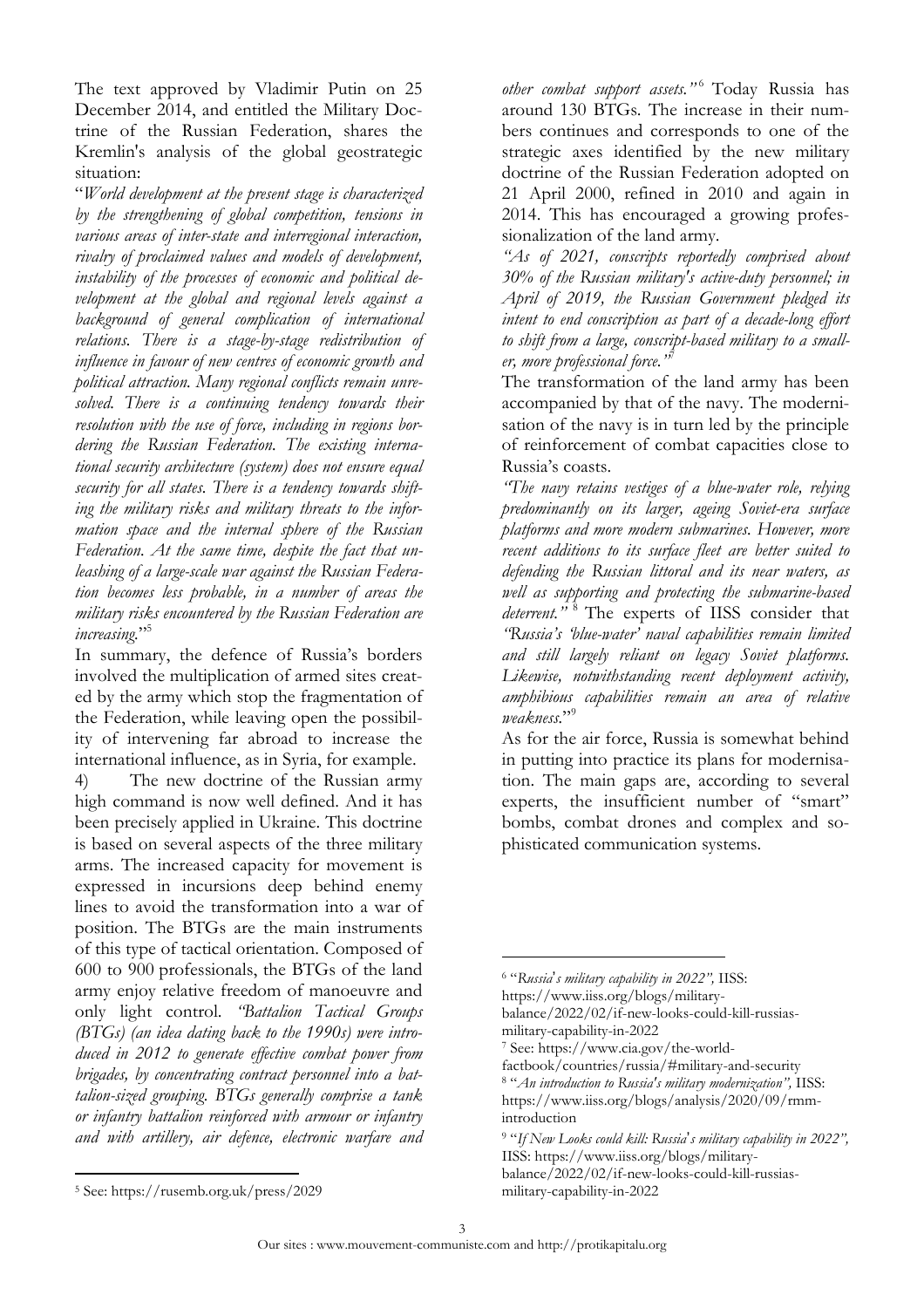The text approved by Vladimir Putin on 25 December 2014, and entitled the Military Doctrine of the Russian Federation, shares the Kremlin's analysis of the global geostrategic situation:

"*World development at the present stage is characterized by the strengthening of global competition, tensions in various areas of inter-state and interregional interaction, rivalry of proclaimed values and models of development, instability of the processes of economic and political development at the global and regional levels against a background of general complication of international relations. There is a stage-by-stage redistribution of influence in favour of new centres of economic growth and political attraction. Many regional conflicts remain unresolved. There is a continuing tendency towards their resolution with the use of force, including in regions bordering the Russian Federation. The existing international security architecture (system) does not ensure equal security for all states. There is a tendency towards shifting the military risks and military threats to the information space and the internal sphere of the Russian Federation. At the same time, despite the fact that unleashing of a large-scale war against the Russian Federation becomes less probable, in a number of areas the military risks encountered by the Russian Federation are increasing.*" 5

In summary, the defence of Russia's borders involved the multiplication of armed sites created by the army which stop the fragmentation of the Federation, while leaving open the possibility of intervening far abroad to increase the international influence, as in Syria, for example.

4) The new doctrine of the Russian army high command is now well defined. And it has been precisely applied in Ukraine. This doctrine is based on several aspects of the three military arms. The increased capacity for movement is expressed in incursions deep behind enemy lines to avoid the transformation into a war of position. The BTGs are the main instruments of this type of tactical orientation. Composed of 600 to 900 professionals, the BTGs of the land army enjoy relative freedom of manoeuvre and only light control. *"Battalion Tactical Groups (BTGs) (an idea dating back to the 1990s) were introduced in 2012 to generate effective combat power from brigades, by concentrating contract personnel into a battalion-sized grouping. BTGs generally comprise a tank or infantry battalion reinforced with armour or infantry and with artillery, air defence, electronic warfare and* *other combat support assets."* <sup>6</sup> Today Russia has around 130 BTGs. The increase in their numbers continues and corresponds to one of the strategic axes identified by the new military doctrine of the Russian Federation adopted on 21 April 2000, refined in 2010 and again in 2014. This has encouraged a growing professionalization of the land army.

*"As of 2021, conscripts reportedly comprised about 30% of the Russian military's active-duty personnel; in April of 2019, the Russian Government pledged its intent to end conscription as part of a decade-long effort to shift from a large, conscript-based military to a smaller, more professional force."* 7

The transformation of the land army has been accompanied by that of the navy. The modernisation of the navy is in turn led by the principle of reinforcement of combat capacities close to Russia's coasts.

*"The navy retains vestiges of a blue-water role, relying predominantly on its larger, ageing Soviet-era surface platforms and more modern submarines. However, more recent additions to its surface fleet are better suited to defending the Russian littoral and its near waters, as well as supporting and protecting the submarine-based deterrent."* <sup>8</sup> The experts of IISS consider that *"Russia's 'blue-water' naval capabilities remain limited and still largely reliant on legacy Soviet platforms. Likewise, notwithstanding recent deployment activity, amphibious capabilities remain an area of relative weakness.*" 9

As for the air force, Russia is somewhat behind in putting into practice its plans for modernisation. The main gaps are, according to several experts, the insufficient number of "smart" bombs, combat drones and complex and sophisticated communication systems.

 $\overline{a}$ 

<sup>6</sup> "*Russia*'*s military capability in 2022",* IISS:

[https://www.iiss.org/blogs/military-](https://www.iiss.org/blogs/military-balance/2022/02/if-new-looks-could-kill-russias-military-capability-in-2022)

[balance/2022/02/if-new-looks-could-kill-russias](https://www.iiss.org/blogs/military-balance/2022/02/if-new-looks-could-kill-russias-military-capability-in-2022)[military-capability-in-2022](https://www.iiss.org/blogs/military-balance/2022/02/if-new-looks-could-kill-russias-military-capability-in-2022)

<sup>7</sup> See: [https://www.cia.gov/the-world-](https://www.cia.gov/the-world-factbook/countries/russia/#military-and-security)

[factbook/countries/russia/#military-and-security](https://www.cia.gov/the-world-factbook/countries/russia/#military-and-security) <sup>8</sup> "*An introduction to Russia's military modernization",* IISS: [https://www.iiss.org/blogs/analysis/2020/09/rmm](https://www.iiss.org/blogs/analysis/2020/09/rmm-introduction)[introduction](https://www.iiss.org/blogs/analysis/2020/09/rmm-introduction)

<sup>9</sup> "*If New Looks could kill: Russia*'*s military capability in 2022",* IISS: [https://www.iiss.org/blogs/military](https://www.iiss.org/blogs/military-balance/2022/02/if-new-looks-could-kill-russias-military-capability-in-2022)[balance/2022/02/if-new-looks-could-kill-russias](https://www.iiss.org/blogs/military-balance/2022/02/if-new-looks-could-kill-russias-military-capability-in-2022)[military-capability-in-2022](https://www.iiss.org/blogs/military-balance/2022/02/if-new-looks-could-kill-russias-military-capability-in-2022)

<sup>5</sup> See: <https://rusemb.org.uk/press/2029>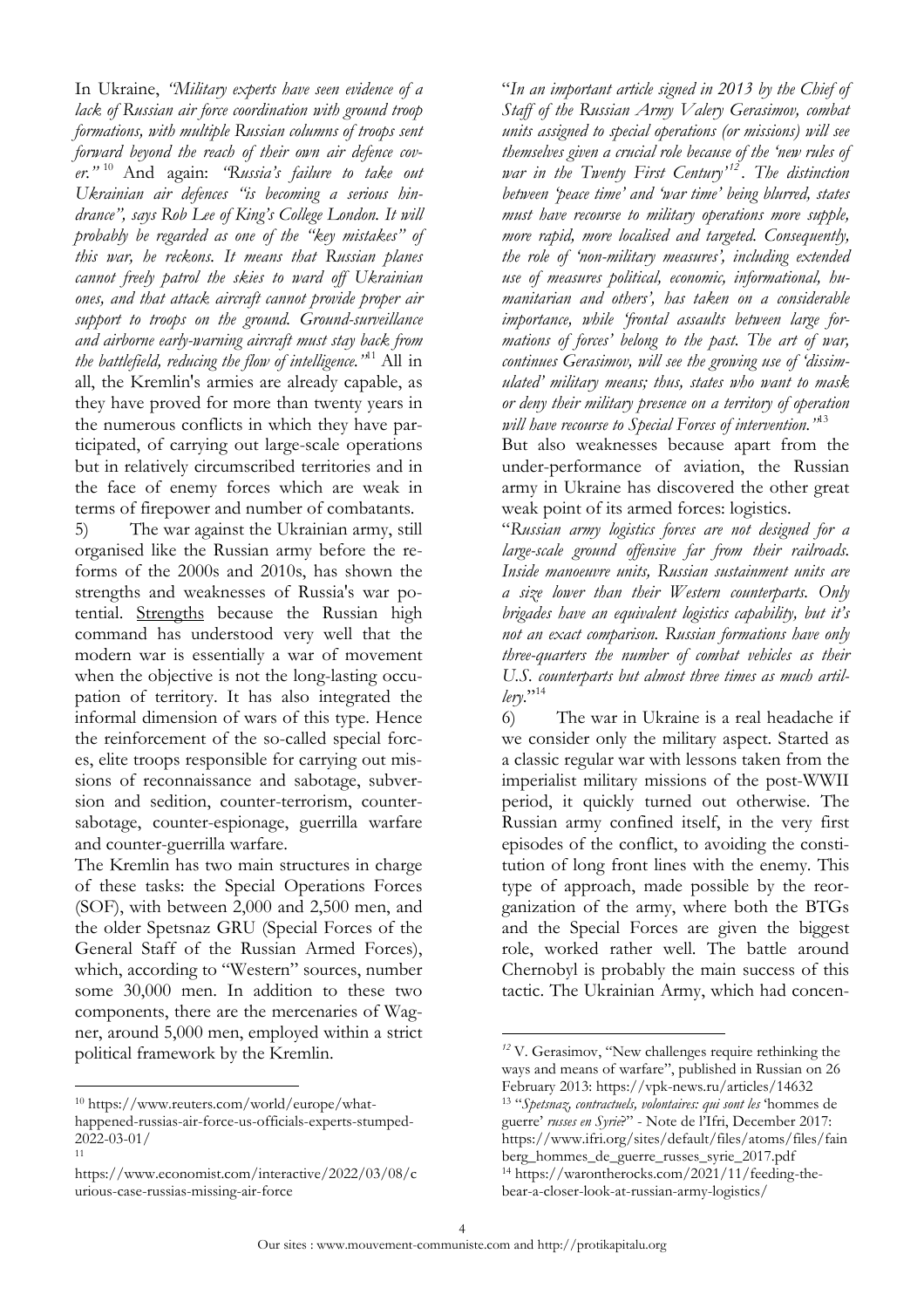In Ukraine, *"Military experts have seen evidence of a lack of Russian air force coordination with ground troop formations, with multiple Russian columns of troops sent forward beyond the reach of their own air defence cover."* <sup>10</sup> And again: *"Russia's failure to take out Ukrainian air defences "is becoming a serious hindrance", says Rob Lee of King's College London. It will probably be regarded as one of the "key mistakes" of this war, he reckons. It means that Russian planes cannot freely patrol the skies to ward off Ukrainian ones, and that attack aircraft cannot provide proper air support to troops on the ground. Ground-surveillance and airborne early-warning aircraft must stay back from the battlefield, reducing the flow of intelligence."* <sup>11</sup> All in all, the Kremlin's armies are already capable, as they have proved for more than twenty years in the numerous conflicts in which they have participated, of carrying out large-scale operations but in relatively circumscribed territories and in the face of enemy forces which are weak in terms of firepower and number of combatants.

5) The war against the Ukrainian army, still organised like the Russian army before the reforms of the 2000s and 2010s, has shown the strengths and weaknesses of Russia's war potential. Strengths because the Russian high command has understood very well that the modern war is essentially a war of movement when the objective is not the long-lasting occupation of territory. It has also integrated the informal dimension of wars of this type. Hence the reinforcement of the so-called special forces, elite troops responsible for carrying out missions of reconnaissance and sabotage, subversion and sedition, counter-terrorism, countersabotage, counter-espionage, guerrilla warfare and counter-guerrilla warfare.

The Kremlin has two main structures in charge of these tasks: the Special Operations Forces (SOF), with between 2,000 and 2,500 men, and the older Spetsnaz GRU (Special Forces of the General Staff of the Russian Armed Forces), which, according to "Western" sources, number some 30,000 men. In addition to these two components, there are the mercenaries of Wagner, around 5,000 men, employed within a strict political framework by the Kremlin.

 $\overline{a}$ 

"*In an important article signed in 2013 by the Chief of Staff of the Russian Army Valery Gerasimov, combat units assigned to special operations (or missions) will see themselves given a crucial role because of the 'new rules of war in the Twenty First Century' <sup>12</sup> . The distinction between 'peace time' and 'war time' being blurred, states must have recourse to military operations more supple, more rapid, more localised and targeted. Consequently, the role of 'non-military measures', including extended use of measures political, economic, informational, humanitarian and others', has taken on a considerable importance, while 'frontal assaults between large formations of forces' belong to the past. The art of war, continues Gerasimov, will see the growing use of 'dissimulated' military means; thus, states who want to mask or deny their military presence on a territory of operation will have recourse to Special Forces of intervention."* 13

But also weaknesses because apart from the under-performance of aviation, the Russian army in Ukraine has discovered the other great weak point of its armed forces: logistics.

"*Russian army logistics forces are not designed for a large-scale ground offensive far from their railroads. Inside manoeuvre units, Russian sustainment units are a size lower than their Western counterparts. Only brigades have an equivalent logistics capability, but it's not an exact comparison. Russian formations have only three-quarters the number of combat vehicles as their U.S. counterparts but almost three times as much artillery*."<sup>14</sup>

6) The war in Ukraine is a real headache if we consider only the military aspect. Started as a classic regular war with lessons taken from the imperialist military missions of the post-WWII period, it quickly turned out otherwise. The Russian army confined itself, in the very first episodes of the conflict, to avoiding the constitution of long front lines with the enemy. This type of approach, made possible by the reorganization of the army, where both the BTGs and the Special Forces are given the biggest role, worked rather well. The battle around Chernobyl is probably the main success of this tactic. The Ukrainian Army, which had concen-

<sup>10</sup> [https://www.reuters.com/world/europe/what](https://www.reuters.com/world/europe/what-happened-russias-air-force-us-officials-experts-stumped-2022-03-01/)[happened-russias-air-force-us-officials-experts-stumped-](https://www.reuters.com/world/europe/what-happened-russias-air-force-us-officials-experts-stumped-2022-03-01/)[2022-03-01/](https://www.reuters.com/world/europe/what-happened-russias-air-force-us-officials-experts-stumped-2022-03-01/) 11

[https://www.economist.com/interactive/2022/03/08/c](https://www.economist.com/interactive/2022/03/08/curious-case-russias-missing-air-force) [urious-case-russias-missing-air-force](https://www.economist.com/interactive/2022/03/08/curious-case-russias-missing-air-force)

*<sup>12</sup>* V. Gerasimov, "New challenges require rethinking the ways and means of warfare", published in Russian on 26 February 2013: <https://vpk-news.ru/articles/14632> <sup>13</sup> "*Spetsnaz, contractuels, volontaires: qui sont les* 'hommes de guerre' *russes en Syrie*?" - Note de l'Ifri, December 2017: https://www.ifri.org/sites/default/files/atoms/files/fain berg\_hommes\_de\_guerre\_russes\_syrie\_2017.pdf

<sup>14</sup> https://warontherocks.com/2021/11/feeding-thebear-a-closer-look-at-russian-army-logistics/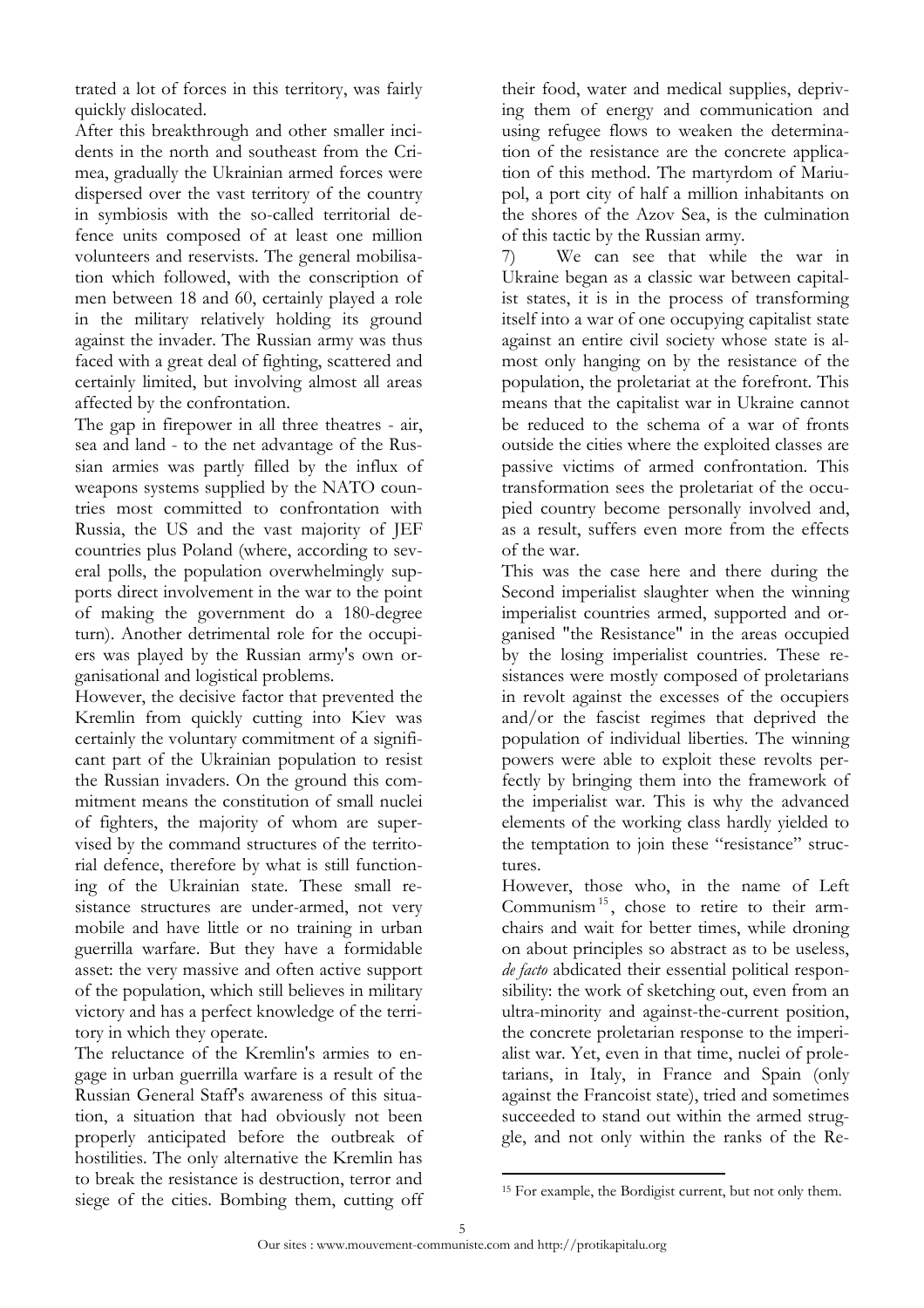trated a lot of forces in this territory, was fairly quickly dislocated.

After this breakthrough and other smaller incidents in the north and southeast from the Crimea, gradually the Ukrainian armed forces were dispersed over the vast territory of the country in symbiosis with the so-called territorial defence units composed of at least one million volunteers and reservists. The general mobilisation which followed, with the conscription of men between 18 and 60, certainly played a role in the military relatively holding its ground against the invader. The Russian army was thus faced with a great deal of fighting, scattered and certainly limited, but involving almost all areas affected by the confrontation.

The gap in firepower in all three theatres - air, sea and land - to the net advantage of the Russian armies was partly filled by the influx of weapons systems supplied by the NATO countries most committed to confrontation with Russia, the US and the vast majority of JEF countries plus Poland (where, according to several polls, the population overwhelmingly supports direct involvement in the war to the point of making the government do a 180-degree turn). Another detrimental role for the occupiers was played by the Russian army's own organisational and logistical problems.

However, the decisive factor that prevented the Kremlin from quickly cutting into Kiev was certainly the voluntary commitment of a significant part of the Ukrainian population to resist the Russian invaders. On the ground this commitment means the constitution of small nuclei of fighters, the majority of whom are supervised by the command structures of the territorial defence, therefore by what is still functioning of the Ukrainian state. These small resistance structures are under-armed, not very mobile and have little or no training in urban guerrilla warfare. But they have a formidable asset: the very massive and often active support of the population, which still believes in military victory and has a perfect knowledge of the territory in which they operate.

The reluctance of the Kremlin's armies to engage in urban guerrilla warfare is a result of the Russian General Staff's awareness of this situation, a situation that had obviously not been properly anticipated before the outbreak of hostilities. The only alternative the Kremlin has to break the resistance is destruction, terror and siege of the cities. Bombing them, cutting off their food, water and medical supplies, depriving them of energy and communication and using refugee flows to weaken the determination of the resistance are the concrete application of this method. The martyrdom of Mariupol, a port city of half a million inhabitants on the shores of the Azov Sea, is the culmination of this tactic by the Russian army.

7) We can see that while the war in Ukraine began as a classic war between capitalist states, it is in the process of transforming itself into a war of one occupying capitalist state against an entire civil society whose state is almost only hanging on by the resistance of the population, the proletariat at the forefront. This means that the capitalist war in Ukraine cannot be reduced to the schema of a war of fronts outside the cities where the exploited classes are passive victims of armed confrontation. This transformation sees the proletariat of the occupied country become personally involved and, as a result, suffers even more from the effects of the war.

This was the case here and there during the Second imperialist slaughter when the winning imperialist countries armed, supported and organised "the Resistance" in the areas occupied by the losing imperialist countries. These resistances were mostly composed of proletarians in revolt against the excesses of the occupiers and/or the fascist regimes that deprived the population of individual liberties. The winning powers were able to exploit these revolts perfectly by bringing them into the framework of the imperialist war. This is why the advanced elements of the working class hardly yielded to the temptation to join these "resistance" structures.

However, those who, in the name of Left Communism<sup>15</sup>, chose to retire to their armchairs and wait for better times, while droning on about principles so abstract as to be useless, *de facto* abdicated their essential political responsibility: the work of sketching out, even from an ultra-minority and against-the-current position, the concrete proletarian response to the imperialist war. Yet, even in that time, nuclei of proletarians, in Italy, in France and Spain (only against the Francoist state), tried and sometimes succeeded to stand out within the armed struggle, and not only within the ranks of the Re-

<sup>&</sup>lt;sup>15</sup> For example, the Bordigist current, but not only them.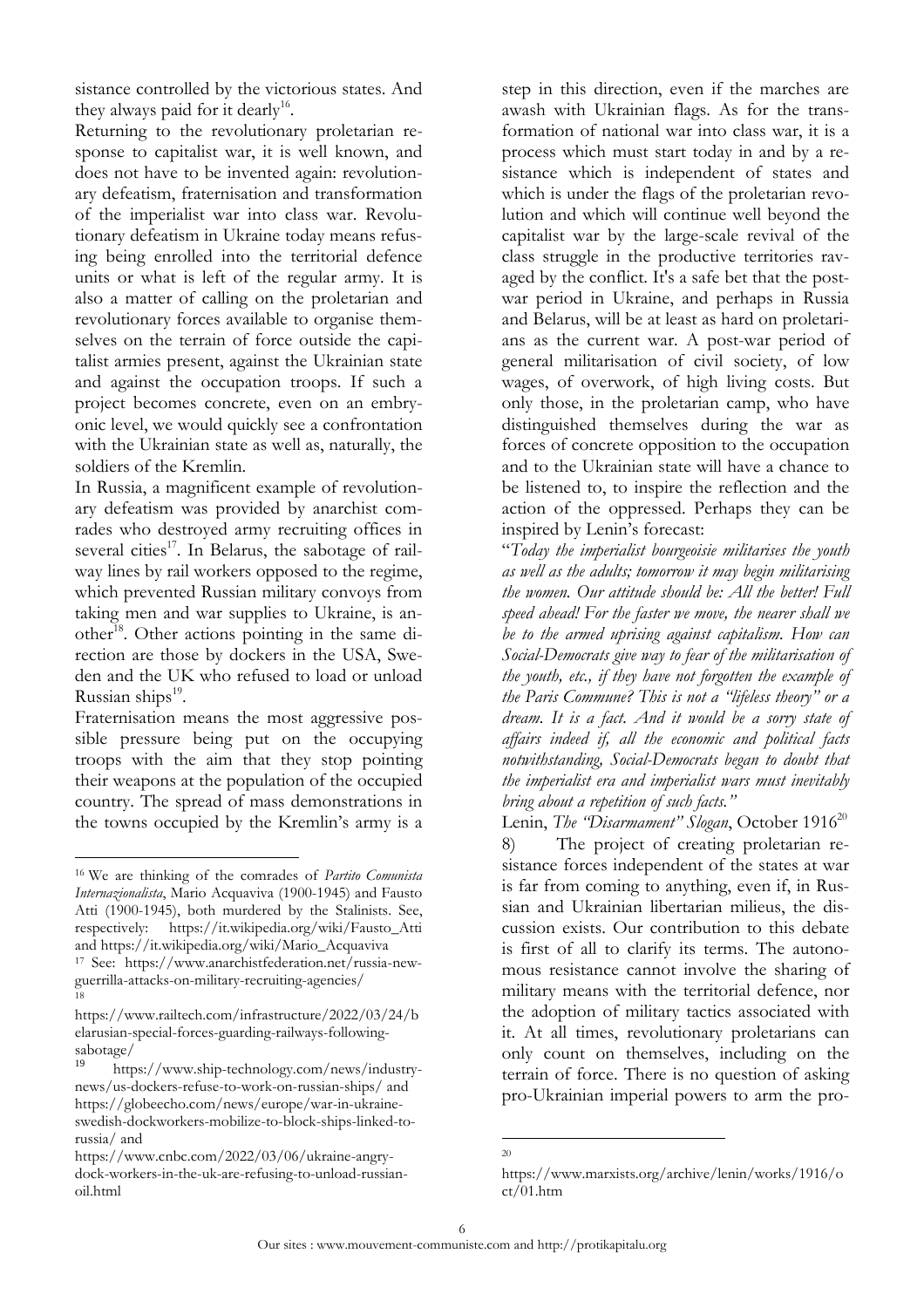sistance controlled by the victorious states. And they always paid for it dearly<sup>16</sup>.

Returning to the revolutionary proletarian response to capitalist war, it is well known, and does not have to be invented again: revolutionary defeatism, fraternisation and transformation of the imperialist war into class war. Revolutionary defeatism in Ukraine today means refusing being enrolled into the territorial defence units or what is left of the regular army. It is also a matter of calling on the proletarian and revolutionary forces available to organise themselves on the terrain of force outside the capitalist armies present, against the Ukrainian state and against the occupation troops. If such a project becomes concrete, even on an embryonic level, we would quickly see a confrontation with the Ukrainian state as well as, naturally, the soldiers of the Kremlin.

In Russia, a magnificent example of revolutionary defeatism was provided by anarchist comrades who destroyed army recruiting offices in several cities<sup>17</sup>. In Belarus, the sabotage of railway lines by rail workers opposed to the regime, which prevented Russian military convoys from taking men and war supplies to Ukraine, is another<sup>18</sup>. Other actions pointing in the same direction are those by dockers in the USA, Sweden and the UK who refused to load or unload Russian ships<sup>19</sup>.

Fraternisation means the most aggressive possible pressure being put on the occupying troops with the aim that they stop pointing their weapons at the population of the occupied country. The spread of mass demonstrations in the towns occupied by the Kremlin's army is a

 $\overline{a}$ 

step in this direction, even if the marches are awash with Ukrainian flags. As for the transformation of national war into class war, it is a process which must start today in and by a resistance which is independent of states and which is under the flags of the proletarian revolution and which will continue well beyond the capitalist war by the large-scale revival of the class struggle in the productive territories ravaged by the conflict. It's a safe bet that the postwar period in Ukraine, and perhaps in Russia and Belarus, will be at least as hard on proletarians as the current war. A post-war period of general militarisation of civil society, of low wages, of overwork, of high living costs. But only those, in the proletarian camp, who have distinguished themselves during the war as forces of concrete opposition to the occupation and to the Ukrainian state will have a chance to be listened to, to inspire the reflection and the action of the oppressed. Perhaps they can be inspired by Lenin's forecast:

"*Today the imperialist bourgeoisie militarises the youth as well as the adults; tomorrow it may begin militarising the women. Our attitude should be: All the better! Full speed ahead! For the faster we move, the nearer shall we be to the armed uprising against capitalism. How can Social-Democrats give way to fear of the militarisation of the youth, etc., if they have not forgotten the example of the Paris Commune? This is not a "lifeless theory" or a dream. It is a fact. And it would be a sorry state of affairs indeed if, all the economic and political facts notwithstanding, Social-Democrats began to doubt that the imperialist era and imperialist wars must inevitably bring about a repetition of such facts."*

Lenin, *The "Disarmament" Slogan*, October 1916<sup>20</sup> 8) The project of creating proletarian resistance forces independent of the states at war is far from coming to anything, even if, in Russian and Ukrainian libertarian milieus, the discussion exists. Our contribution to this debate is first of all to clarify its terms. The autonomous resistance cannot involve the sharing of military means with the territorial defence, nor the adoption of military tactics associated with it. At all times, revolutionary proletarians can only count on themselves, including on the terrain of force. There is no question of asking pro-Ukrainian imperial powers to arm the pro-

<sup>16</sup> We are thinking of the comrades of *Partito Comunista Internazionalista*, Mario Acquaviva (1900-1945) and Fausto Atti (1900-1945), both murdered by the Stalinists. See, respectively: [https://it.wikipedia.org/wiki/Fausto\\_Atti](https://it.wikipedia.org/wiki/Fausto_Atti) and [https://it.wikipedia.org/wiki/Mario\\_Acquaviva](https://it.wikipedia.org/wiki/Mario_Acquaviva)

<sup>17</sup> See: [https://www.anarchistfederation.net/russia-new](https://www.anarchistfederation.net/russia-new-guerrilla-attacks-on-military-recruiting-agencies/)[guerrilla-attacks-on-military-recruiting-agencies/](https://www.anarchistfederation.net/russia-new-guerrilla-attacks-on-military-recruiting-agencies/) 18

[https://www.railtech.com/infrastructure/2022/03/24/b](https://www.railtech.com/infrastructure/2022/03/24/belarusian-special-forces-guarding-railways-following-sabotage/) [elarusian-special-forces-guarding-railways-following](https://www.railtech.com/infrastructure/2022/03/24/belarusian-special-forces-guarding-railways-following-sabotage/)[sabotage/](https://www.railtech.com/infrastructure/2022/03/24/belarusian-special-forces-guarding-railways-following-sabotage/)

[https://www.ship-technology.com/news/industry](https://www.ship-technology.com/news/industry-news/us-dockers-refuse-to-work-on-russian-ships/)[news/us-dockers-refuse-to-work-on-russian-ships/](https://www.ship-technology.com/news/industry-news/us-dockers-refuse-to-work-on-russian-ships/) and [https://globeecho.com/news/europe/war-in-ukraine](https://globeecho.com/news/europe/war-in-ukraine-swedish-dockworkers-mobilize-to-block-ships-linked-to-russia/)[swedish-dockworkers-mobilize-to-block-ships-linked-to](https://globeecho.com/news/europe/war-in-ukraine-swedish-dockworkers-mobilize-to-block-ships-linked-to-russia/)[russia/](https://globeecho.com/news/europe/war-in-ukraine-swedish-dockworkers-mobilize-to-block-ships-linked-to-russia/) and

[https://www.cnbc.com/2022/03/06/ukraine-angry](https://www.cnbc.com/2022/03/06/ukraine-angry-dock-workers-in-the-uk-are-refusing-to-unload-russian-oil.html)[dock-workers-in-the-uk-are-refusing-to-unload-russian](https://www.cnbc.com/2022/03/06/ukraine-angry-dock-workers-in-the-uk-are-refusing-to-unload-russian-oil.html)[oil.html](https://www.cnbc.com/2022/03/06/ukraine-angry-dock-workers-in-the-uk-are-refusing-to-unload-russian-oil.html)

 $\overline{a}$ 20

[https://www.marxists.org/archive/lenin/works/1916/o](https://www.marxists.org/archive/lenin/works/1916/oct/01.htm) [ct/01.htm](https://www.marxists.org/archive/lenin/works/1916/oct/01.htm)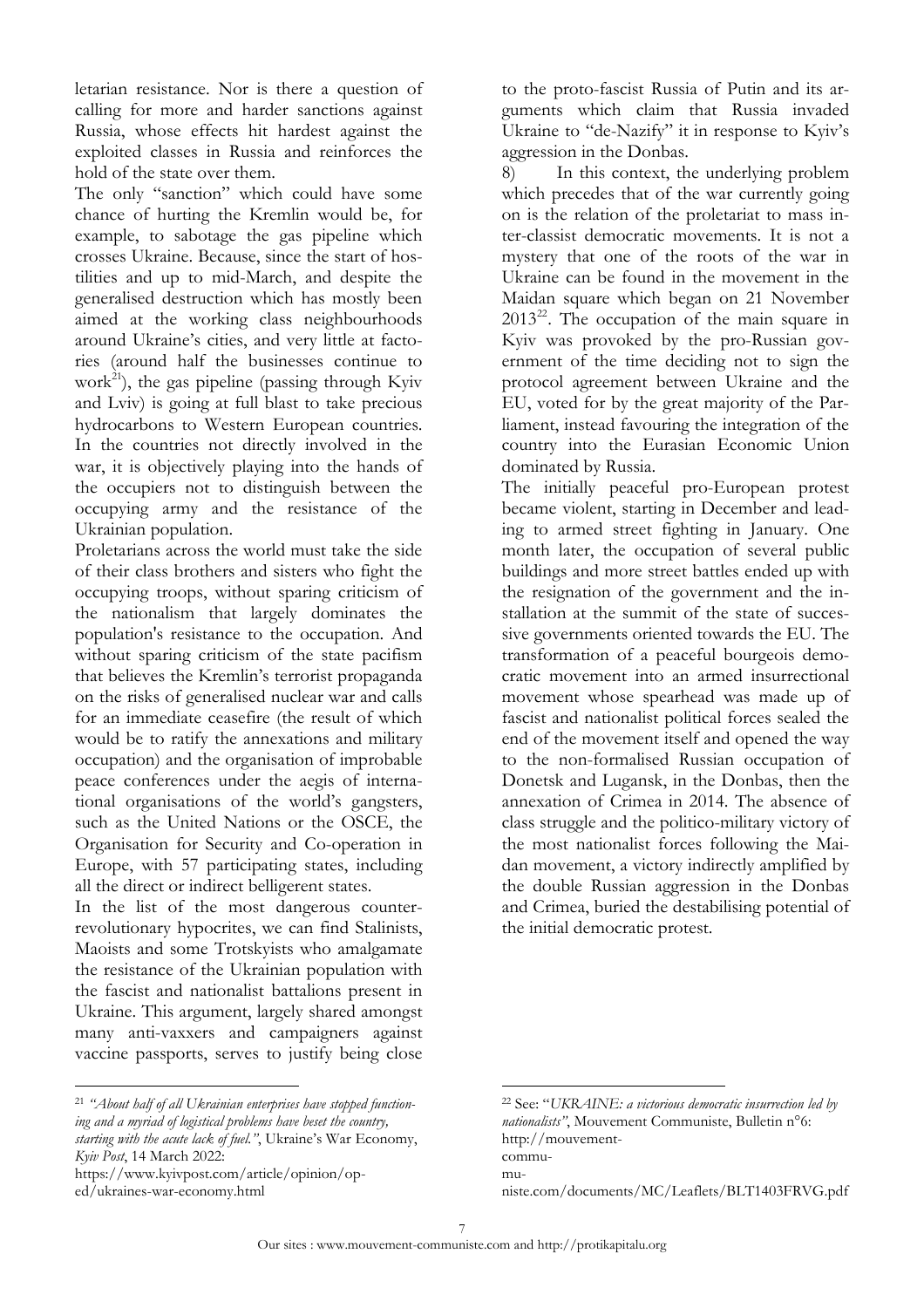letarian resistance. Nor is there a question of calling for more and harder sanctions against Russia, whose effects hit hardest against the exploited classes in Russia and reinforces the hold of the state over them.

The only "sanction" which could have some chance of hurting the Kremlin would be, for example, to sabotage the gas pipeline which crosses Ukraine. Because, since the start of hostilities and up to mid-March, and despite the generalised destruction which has mostly been aimed at the working class neighbourhoods around Ukraine's cities, and very little at factories (around half the businesses continue to work<sup>21</sup>), the gas pipeline (passing through Kyiv and Lviv) is going at full blast to take precious hydrocarbons to Western European countries. In the countries not directly involved in the war, it is objectively playing into the hands of the occupiers not to distinguish between the occupying army and the resistance of the Ukrainian population.

Proletarians across the world must take the side of their class brothers and sisters who fight the occupying troops, without sparing criticism of the nationalism that largely dominates the population's resistance to the occupation. And without sparing criticism of the state pacifism that believes the Kremlin's terrorist propaganda on the risks of generalised nuclear war and calls for an immediate ceasefire (the result of which would be to ratify the annexations and military occupation) and the organisation of improbable peace conferences under the aegis of international organisations of the world's gangsters, such as the United Nations or the OSCE, the Organisation for Security and Co-operation in Europe, with 57 participating states, including all the direct or indirect belligerent states.

In the list of the most dangerous counterrevolutionary hypocrites, we can find Stalinists, Maoists and some Trotskyists who amalgamate the resistance of the Ukrainian population with the fascist and nationalist battalions present in Ukraine. This argument, largely shared amongst many anti-vaxxers and campaigners against vaccine passports, serves to justify being close to the proto-fascist Russia of Putin and its arguments which claim that Russia invaded Ukraine to "de-Nazify" it in response to Kyiv's aggression in the Donbas.

8) In this context, the underlying problem which precedes that of the war currently going on is the relation of the proletariat to mass inter-classist democratic movements. It is not a mystery that one of the roots of the war in Ukraine can be found in the movement in the Maidan square which began on 21 November  $2013^{22}$ . The occupation of the main square in Kyiv was provoked by the pro-Russian government of the time deciding not to sign the protocol agreement between Ukraine and the EU, voted for by the great majority of the Parliament, instead favouring the integration of the country into the Eurasian Economic Union dominated by Russia.

The initially peaceful pro-European protest became violent, starting in December and leading to armed street fighting in January. One month later, the occupation of several public buildings and more street battles ended up with the resignation of the government and the installation at the summit of the state of successive governments oriented towards the EU. The transformation of a peaceful bourgeois democratic movement into an armed insurrectional movement whose spearhead was made up of fascist and nationalist political forces sealed the end of the movement itself and opened the way to the non-formalised Russian occupation of Donetsk and Lugansk, in the Donbas, then the annexation of Crimea in 2014. The absence of class struggle and the politico-military victory of the most nationalist forces following the Maidan movement, a victory indirectly amplified by the double Russian aggression in the Donbas and Crimea, buried the destabilising potential of the initial democratic protest.

[https://www.kyivpost.com/article/opinion/op](https://www.kyivpost.com/article/opinion/op-ed/ukraines-war-economy.html)[ed/ukraines-war-economy.html](https://www.kyivpost.com/article/opinion/op-ed/ukraines-war-economy.html)

 $\overline{a}$ 

[mu-](http://mouvement-communiste.com/documents/MC/Leaflets/BLT1403FRVG.pdf)

<sup>21</sup> *"About half of all Ukrainian enterprises have stopped functioning and a myriad of logistical problems have beset the country, starting with the acute lack of fuel."*, Ukraine's War Economy, *Kyiv Post*, 14 March 2022:

<sup>22</sup> See: "*UKRAINE: a victorious democratic insurrection led by nationalists"*, Mouvement Communiste, Bulletin n°6: [http://mouvement](http://mouvement-communiste.com/documents/MC/Leaflets/BLT1403FRVG.pdf)[commu-](http://mouvement-communiste.com/documents/MC/Leaflets/BLT1403FRVG.pdf)

[niste.com/documents/MC/Leaflets/BLT1403FRVG.pdf](http://mouvement-communiste.com/documents/MC/Leaflets/BLT1403FRVG.pdf)